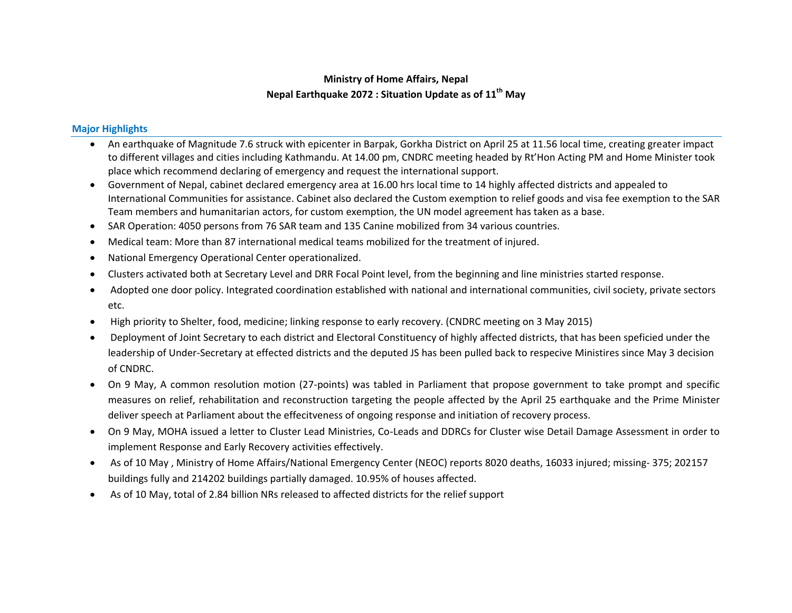## **Ministry of Home Affairs, Nepal Nepal Earthquake 2072 : Situation Update as of 11 th May**

## **Major Highlights**

- An earthquake of Magnitude 7.6 struck with epicenter in Barpak, Gorkha District on April 25 at 11.56 local time, creating greater impact to different villages and cities including Kathmandu. At 14.00 pm, CNDRC meeting headed by Rt'Hon Acting PM and Home Minister took place which recommend declaring of emergency and request the international support.
- Government of Nepal, cabinet declared emergency area at 16.00 hrs local time to 14 highly affected districts and appealed to International Communities for assistance. Cabinet also declared the Custom exemption to relief goods and visa fee exemption to the SAR Team members and humanitarian actors, for custom exemption, the UN model agreement has taken as a base.
- SAR Operation: 4050 persons from 76 SAR team and 135 Canine mobilized from 34 various countries.
- Medical team: More than 87 international medical teams mobilized for the treatment of injured.
- National Emergency Operational Center operationalized.
- Clusters activated both at Secretary Level and DRR Focal Point level, from the beginning and line ministries started response.
- Adopted one door policy. Integrated coordination established with national and international communities, civil society, private sectors etc.
- High priority to Shelter, food, medicine; linking response to early recovery. (CNDRC meeting on 3 May 2015)
- Deployment of Joint Secretary to each district and Electoral Constituency of highly affected districts, that has been speficied under the leadership of Under-Secretary at effected districts and the deputed JS has been pulled back to respecive Ministires since May 3 decision of CNDRC.
- On 9 May, A common resolution motion (27-points) was tabled in Parliament that propose government to take prompt and specific measures on relief, rehabilitation and reconstruction targeting the people affected by the April 25 earthquake and the Prime Minister deliver speech at Parliament about the effecitveness of ongoing response and initiation of recovery process.
- On 9 May, MOHA issued a letter to Cluster Lead Ministries, Co-Leads and DDRCs for Cluster wise Detail Damage Assessment in order to implement Response and Early Recovery activities effectively.
- As of 10 May , Ministry of Home Affairs/National Emergency Center (NEOC) reports 8020 deaths, 16033 injured; missing- 375; 202157 buildings fully and 214202 buildings partially damaged. 10.95% of houses affected.
- As of 10 May, total of 2.84 billion NRs released to affected districts for the relief support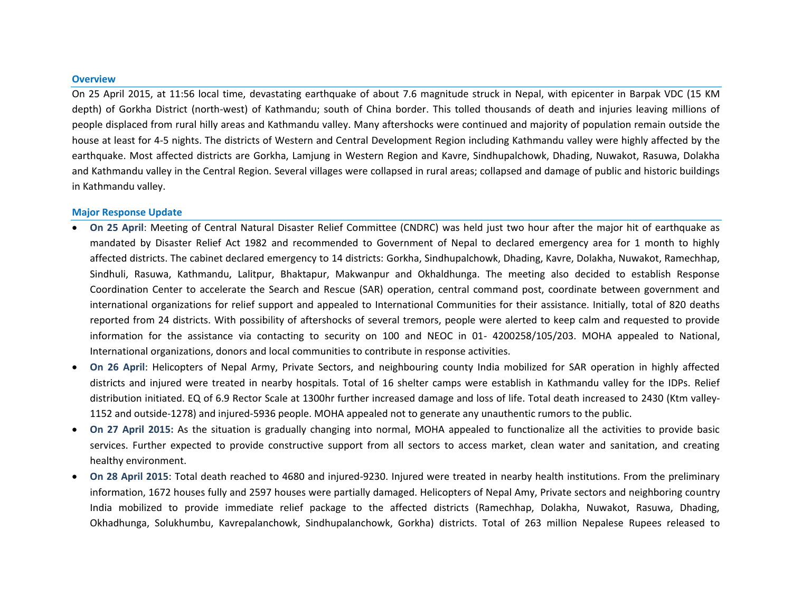## **Overview**

On 25 April 2015, at 11:56 local time, devastating earthquake of about 7.6 magnitude struck in Nepal, with epicenter in Barpak VDC (15 KM depth) of Gorkha District (north-west) of Kathmandu; south of China border. This tolled thousands of death and injuries leaving millions of people displaced from rural hilly areas and Kathmandu valley. Many aftershocks were continued and majority of population remain outside the house at least for 4-5 nights. The districts of Western and Central Development Region including Kathmandu valley were highly affected by the earthquake. Most affected districts are Gorkha, Lamjung in Western Region and Kavre, Sindhupalchowk, Dhading, Nuwakot, Rasuwa, Dolakha and Kathmandu valley in the Central Region. Several villages were collapsed in rural areas; collapsed and damage of public and historic buildings in Kathmandu valley.

## **Major Response Update**

- **On 25 April**: Meeting of Central Natural Disaster Relief Committee (CNDRC) was held just two hour after the major hit of earthquake as mandated by Disaster Relief Act 1982 and recommended to Government of Nepal to declared emergency area for 1 month to highly affected districts. The cabinet declared emergency to 14 districts: Gorkha, Sindhupalchowk, Dhading, Kavre, Dolakha, Nuwakot, Ramechhap, Sindhuli, Rasuwa, Kathmandu, Lalitpur, Bhaktapur, Makwanpur and Okhaldhunga. The meeting also decided to establish Response Coordination Center to accelerate the Search and Rescue (SAR) operation, central command post, coordinate between government and international organizations for relief support and appealed to International Communities for their assistance. Initially, total of 820 deaths reported from 24 districts. With possibility of aftershocks of several tremors, people were alerted to keep calm and requested to provide information for the assistance via contacting to security on 100 and NEOC in 01- 4200258/105/203. MOHA appealed to National, International organizations, donors and local communities to contribute in response activities.
- **On 26 April**: Helicopters of Nepal Army, Private Sectors, and neighbouring county India mobilized for SAR operation in highly affected districts and injured were treated in nearby hospitals. Total of 16 shelter camps were establish in Kathmandu valley for the IDPs. Relief distribution initiated. EQ of 6.9 Rector Scale at 1300hr further increased damage and loss of life. Total death increased to 2430 (Ktm valley-1152 and outside-1278) and injured-5936 people. MOHA appealed not to generate any unauthentic rumors to the public.
- **On 27 April 2015:** As the situation is gradually changing into normal, MOHA appealed to functionalize all the activities to provide basic services. Further expected to provide constructive support from all sectors to access market, clean water and sanitation, and creating healthy environment.
- **On 28 April 2015**: Total death reached to 4680 and injured-9230. Injured were treated in nearby health institutions. From the preliminary information, 1672 houses fully and 2597 houses were partially damaged. Helicopters of Nepal Amy, Private sectors and neighboring country India mobilized to provide immediate relief package to the affected districts (Ramechhap, Dolakha, Nuwakot, Rasuwa, Dhading, Okhadhunga, Solukhumbu, Kavrepalanchowk, Sindhupalanchowk, Gorkha) districts. Total of 263 million Nepalese Rupees released to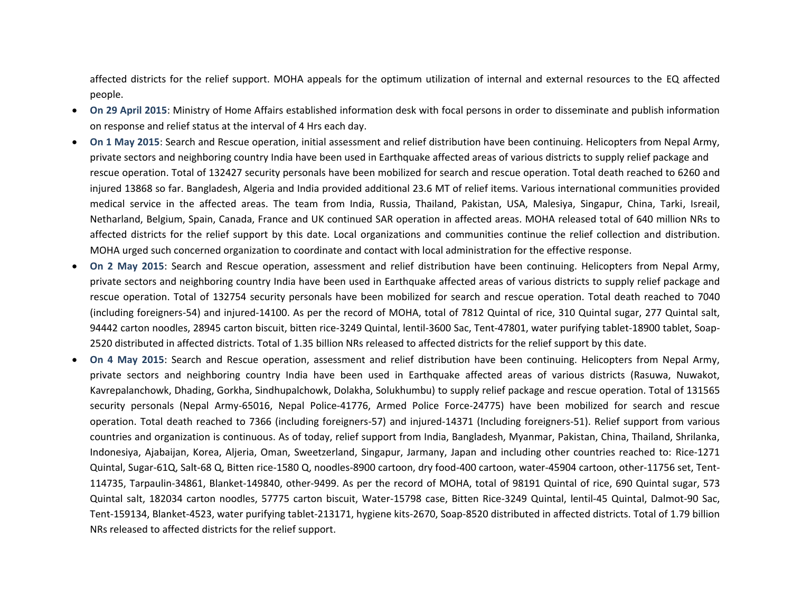affected districts for the relief support. MOHA appeals for the optimum utilization of internal and external resources to the EQ affected people.

- **On 29 April 2015**: Ministry of Home Affairs established information desk with focal persons in order to disseminate and publish information on response and relief status at the interval of 4 Hrs each day.
- **On 1 May 2015**: Search and Rescue operation, initial assessment and relief distribution have been continuing. Helicopters from Nepal Army, private sectors and neighboring country India have been used in Earthquake affected areas of various districts to supply relief package and rescue operation. Total of 132427 security personals have been mobilized for search and rescue operation. Total death reached to 6260 and injured 13868 so far. Bangladesh, Algeria and India provided additional 23.6 MT of relief items. Various international communities provided medical service in the affected areas. The team from India, Russia, Thailand, Pakistan, USA, Malesiya, Singapur, China, Tarki, Isreail, Netharland, Belgium, Spain, Canada, France and UK continued SAR operation in affected areas. MOHA released total of 640 million NRs to affected districts for the relief support by this date. Local organizations and communities continue the relief collection and distribution. MOHA urged such concerned organization to coordinate and contact with local administration for the effective response.
- **On 2 May 2015**: Search and Rescue operation, assessment and relief distribution have been continuing. Helicopters from Nepal Army, private sectors and neighboring country India have been used in Earthquake affected areas of various districts to supply relief package and rescue operation. Total of 132754 security personals have been mobilized for search and rescue operation. Total death reached to 7040 (including foreigners-54) and injured-14100. As per the record of MOHA, total of 7812 Quintal of rice, 310 Quintal sugar, 277 Quintal salt, 94442 carton noodles, 28945 carton biscuit, bitten rice-3249 Quintal, lentil-3600 Sac, Tent-47801, water purifying tablet-18900 tablet, Soap-2520 distributed in affected districts. Total of 1.35 billion NRs released to affected districts for the relief support by this date.
- **On 4 May 2015**: Search and Rescue operation, assessment and relief distribution have been continuing. Helicopters from Nepal Army, private sectors and neighboring country India have been used in Earthquake affected areas of various districts (Rasuwa, Nuwakot, Kavrepalanchowk, Dhading, Gorkha, Sindhupalchowk, Dolakha, Solukhumbu) to supply relief package and rescue operation. Total of 131565 security personals (Nepal Army-65016, Nepal Police-41776, Armed Police Force-24775) have been mobilized for search and rescue operation. Total death reached to 7366 (including foreigners-57) and injured-14371 (Including foreigners-51). Relief support from various countries and organization is continuous. As of today, relief support from India, Bangladesh, Myanmar, Pakistan, China, Thailand, Shrilanka, Indonesiya, Ajabaijan, Korea, Aljeria, Oman, Sweetzerland, Singapur, Jarmany, Japan and including other countries reached to: Rice-1271 Quintal, Sugar-61Q, Salt-68 Q, Bitten rice-1580 Q, noodles-8900 cartoon, dry food-400 cartoon, water-45904 cartoon, other-11756 set, Tent-114735, Tarpaulin-34861, Blanket-149840, other-9499. As per the record of MOHA, total of 98191 Quintal of rice, 690 Quintal sugar, 573 Quintal salt, 182034 carton noodles, 57775 carton biscuit, Water-15798 case, Bitten Rice-3249 Quintal, lentil-45 Quintal, Dalmot-90 Sac, Tent-159134, Blanket-4523, water purifying tablet-213171, hygiene kits-2670, Soap-8520 distributed in affected districts. Total of 1.79 billion NRs released to affected districts for the relief support.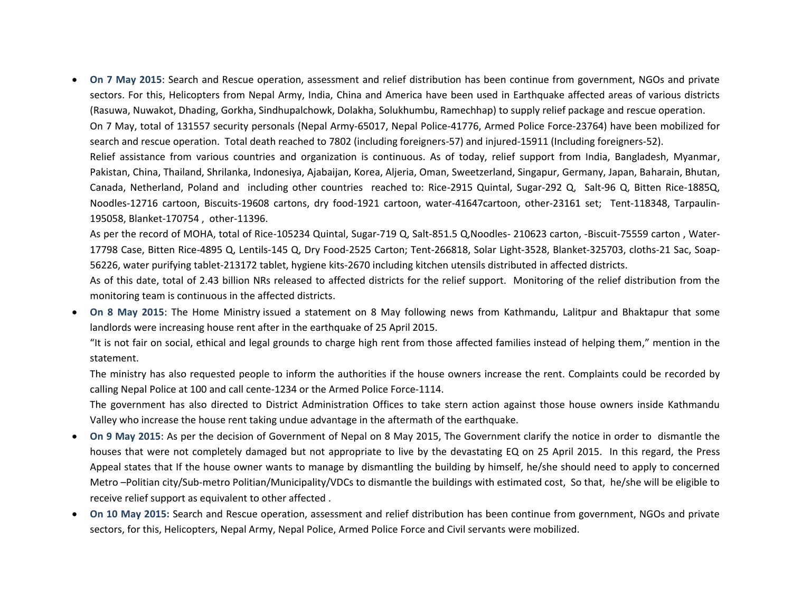**On 7 May 2015**: Search and Rescue operation, assessment and relief distribution has been continue from government, NGOs and private sectors. For this, Helicopters from Nepal Army, India, China and America have been used in Earthquake affected areas of various districts (Rasuwa, Nuwakot, Dhading, Gorkha, Sindhupalchowk, Dolakha, Solukhumbu, Ramechhap) to supply relief package and rescue operation. On 7 May, total of 131557 security personals (Nepal Army-65017, Nepal Police-41776, Armed Police Force-23764) have been mobilized for search and rescue operation. Total death reached to 7802 (including foreigners-57) and injured-15911 (Including foreigners-52). Relief assistance from various countries and organization is continuous. As of today, relief support from India, Bangladesh, Myanmar, Pakistan, China, Thailand, Shrilanka, Indonesiya, Ajabaijan, Korea, Aljeria, Oman, Sweetzerland, Singapur, Germany, Japan, Baharain, Bhutan, Canada, Netherland, Poland and including other countries reached to: Rice-2915 Quintal, Sugar-292 Q, Salt-96 Q, Bitten Rice-1885Q, Noodles-12716 cartoon, Biscuits-19608 cartons, dry food-1921 cartoon, water-41647cartoon, other-23161 set; Tent-118348, Tarpaulin-195058, Blanket-170754 , other-11396.

As per the record of MOHA, total of Rice-105234 Quintal, Sugar-719 Q, Salt-851.5 Q,Noodles- 210623 carton, -Biscuit-75559 carton , Water-17798 Case, Bitten Rice-4895 Q, Lentils-145 Q, Dry Food-2525 Carton; Tent-266818, Solar Light-3528, Blanket-325703, cloths-21 Sac, Soap-56226, water purifying tablet-213172 tablet, hygiene kits-2670 including kitchen utensils distributed in affected districts.

As of this date, total of 2.43 billion NRs released to affected districts for the relief support. Monitoring of the relief distribution from the monitoring team is continuous in the affected districts.

 **On 8 May 2015**: The Home Ministry issued a statement on 8 May following news from Kathmandu, Lalitpur and Bhaktapur that some landlords were increasing house rent after in the earthquake of 25 April 2015.

"It is not fair on social, ethical and legal grounds to charge high rent from those affected families instead of helping them," mention in the statement.

The ministry has also requested people to inform the authorities if the house owners increase the rent. Complaints could be recorded by calling Nepal Police at 100 and call cente-1234 or the Armed Police Force-1114.

The government has also directed to District Administration Offices to take stern action against those house owners inside Kathmandu Valley who increase the house rent taking undue advantage in the aftermath of the earthquake.

- **On 9 May 2015**: As per the decision of Government of Nepal on 8 May 2015, The Government clarify the notice in order to dismantle the houses that were not completely damaged but not appropriate to live by the devastating EQ on 25 April 2015. In this regard, the Press Appeal states that If the house owner wants to manage by dismantling the building by himself, he/she should need to apply to concerned Metro –Politian city/Sub-metro Politian/Municipality/VDCs to dismantle the buildings with estimated cost, So that, he/she will be eligible to receive relief support as equivalent to other affected .
- **On 10 May 2015:** Search and Rescue operation, assessment and relief distribution has been continue from government, NGOs and private sectors, for this, Helicopters, Nepal Army, Nepal Police, Armed Police Force and Civil servants were mobilized.